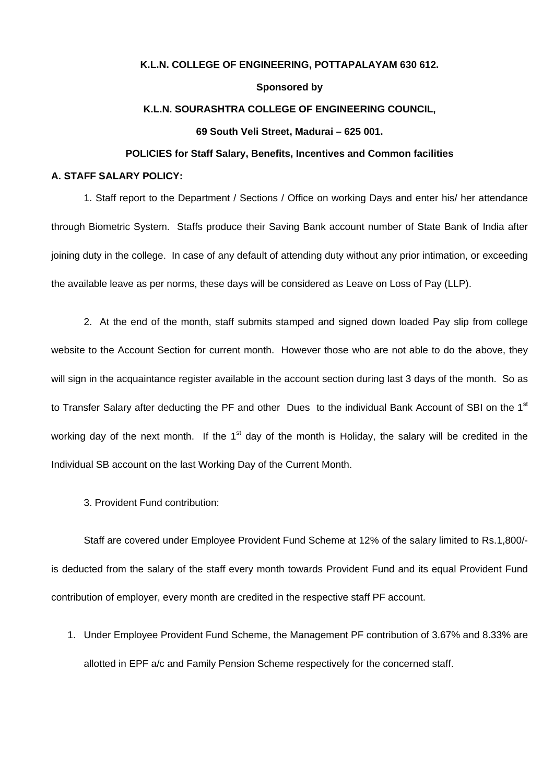### **K.L.N. COLLEGE OF ENGINEERING, POTTAPALAYAM 630 612.**

# **Sponsored by**

#### **K.L.N. SOURASHTRA COLLEGE OF ENGINEERING COUNCIL,**

## **69 South Veli Street, Madurai – 625 001.**

#### **POLICIES for Staff Salary, Benefits, Incentives and Common facilities**

## **A. STAFF SALARY POLICY:**

 1. Staff report to the Department / Sections / Office on working Days and enter his/ her attendance through Biometric System. Staffs produce their Saving Bank account number of State Bank of India after joining duty in the college. In case of any default of attending duty without any prior intimation, or exceeding the available leave as per norms, these days will be considered as Leave on Loss of Pay (LLP).

2. At the end of the month, staff submits stamped and signed down loaded Pay slip from college website to the Account Section for current month. However those who are not able to do the above, they will sign in the acquaintance register available in the account section during last 3 days of the month. So as to Transfer Salary after deducting the PF and other Dues to the individual Bank Account of SBI on the 1<sup>st</sup> working day of the next month. If the  $1<sup>st</sup>$  day of the month is Holiday, the salary will be credited in the Individual SB account on the last Working Day of the Current Month.

3. Provident Fund contribution:

 Staff are covered under Employee Provident Fund Scheme at 12% of the salary limited to Rs.1,800/ is deducted from the salary of the staff every month towards Provident Fund and its equal Provident Fund contribution of employer, every month are credited in the respective staff PF account.

1. Under Employee Provident Fund Scheme, the Management PF contribution of 3.67% and 8.33% are allotted in EPF a/c and Family Pension Scheme respectively for the concerned staff.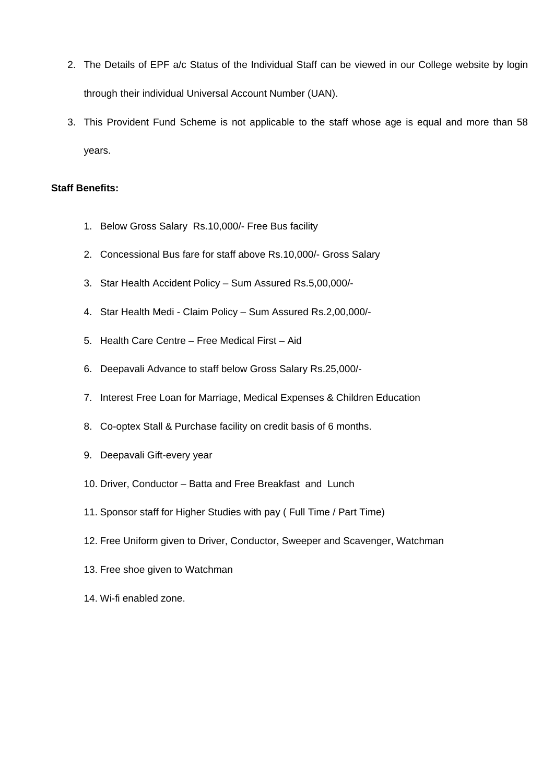- 2. The Details of EPF a/c Status of the Individual Staff can be viewed in our College website by login through their individual Universal Account Number (UAN).
- 3. This Provident Fund Scheme is not applicable to the staff whose age is equal and more than 58 years.

# **Staff Benefits:**

- 1. Below Gross Salary Rs.10,000/- Free Bus facility
- 2. Concessional Bus fare for staff above Rs.10,000/- Gross Salary
- 3. Star Health Accident Policy Sum Assured Rs.5,00,000/-
- 4. Star Health Medi Claim Policy Sum Assured Rs.2,00,000/-
- 5. Health Care Centre Free Medical First Aid
- 6. Deepavali Advance to staff below Gross Salary Rs.25,000/-
- 7. Interest Free Loan for Marriage, Medical Expenses & Children Education
- 8. Co-optex Stall & Purchase facility on credit basis of 6 months.
- 9. Deepavali Gift-every year
- 10. Driver, Conductor Batta and Free Breakfast and Lunch
- 11. Sponsor staff for Higher Studies with pay ( Full Time / Part Time)
- 12. Free Uniform given to Driver, Conductor, Sweeper and Scavenger, Watchman
- 13. Free shoe given to Watchman
- 14. Wi-fi enabled zone.